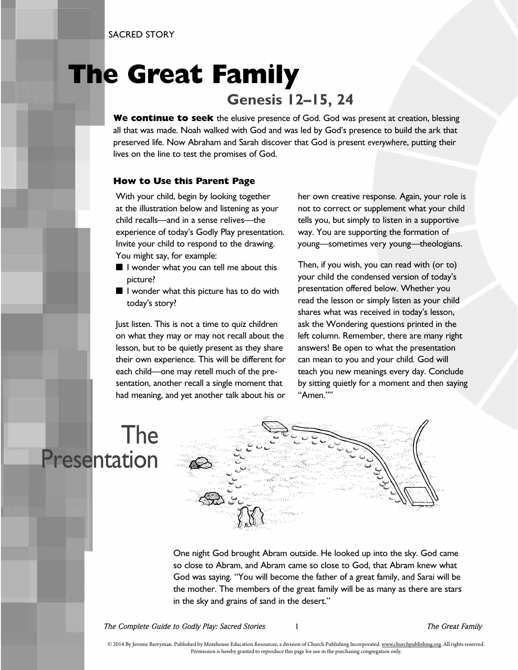SACRED STORY

#### **The Great Family Genesis 12–15, 24**

**We continue to seek** the elusive presence of God. God was present at creation, blessing all that was made. Noah walked with God and was led by God's presence to build the ark that preserved life. Now Abraham and Sarah discover that God is present *everywhere*, putting their lives on the line to test the promises of God.

#### **How to Use this Parent Page**

With your child, begin by looking together at the illustration below and listening as your child recalls—and in a sense relives—the experience of today's Godly Play presentation. Invite your child to respond to the drawing. You might say, for example:

- I wonder what you can tell me about this picture?
- I wonder what this picture has to do with today's story?

Just listen. This is not a time to quiz children on what they may or may not recall about the lesson, but to be quietly present as they share their own experience. This will be different for each child—one may retell much of the presentation, another recall a single moment that had meaning, and yet another talk about his or her own creative response. Again, your role is not to correct or supplement what your child tells you, but simply to listen in a supportive way. You are supporting the formation of young—sometimes very young—theologians.

Then, if you wish, you can read with (or to) your child the condensed version of today's presentation offered below. Whether you read the lesson or simply listen as your child shares what was received in today's lesson, ask the Wondering questions printed in the left column. Remember, there are many right answers! Be open to what the presentation can mean to you and your child. God will teach you new meanings every day. Conclude by sitting quietly for a moment and then saying "Amen.""

### The Presentation



One night God brought Abram outside. He looked up into the sky. God came so close to Abram, and Abram came so close to God, that Abram knew what God was saying. "You will become the father of a great family, and Sarai will be the mother. The members of the great family will be as many as there are stars in the sky and grains of sand in the desert."

*The Complete Guide to Godly Play: Sacred Stories* 1 *The Great Family*